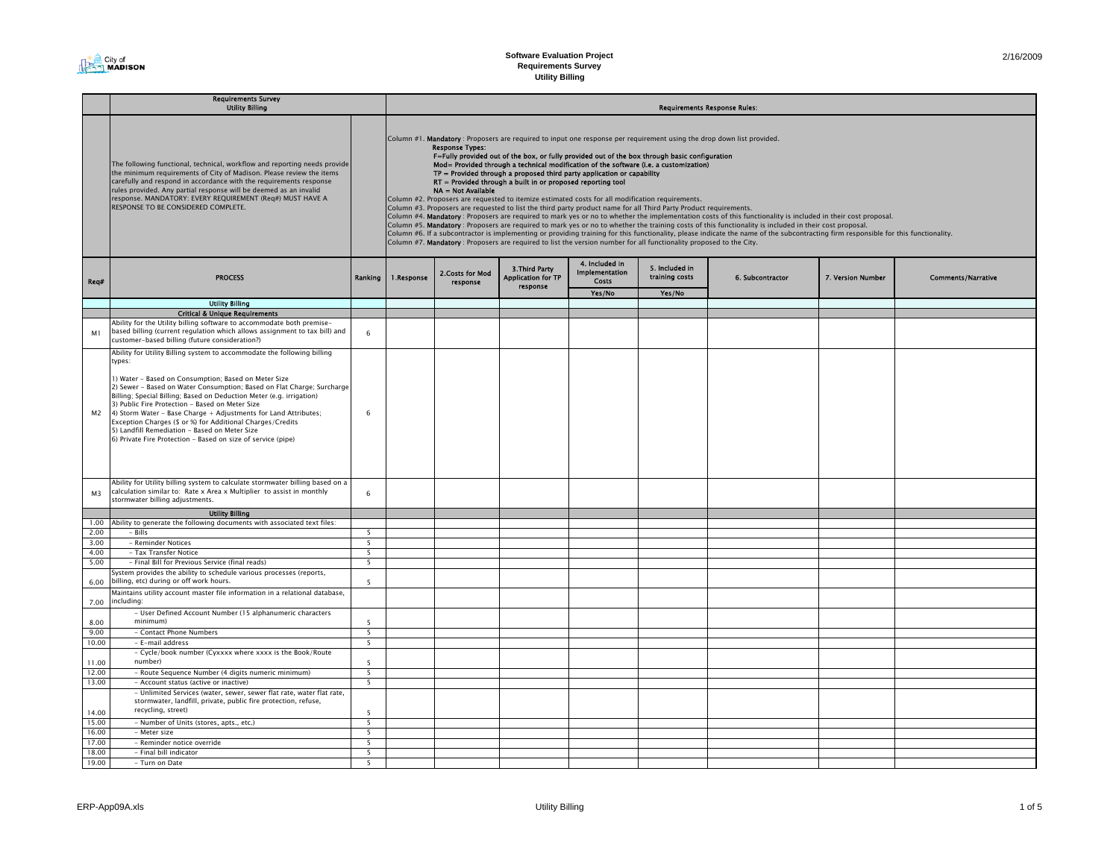| 2/16/2009 |
|-----------|
|-----------|

۰

# **Software Evaluation Project Requirements Survey**

**Utility Billing**

|                | <b>Requirements Survey</b><br><b>Utility Billing</b>                                                                                                                                                                                                                                                                                                                                                                                                                                                                                                                                             |                          | <b>Requirements Response Rules:</b>                                                                                                                                                                                                                                                                                                                                                                                                                                                                                                                                                                                                                                                                                                                                                                                                                                                                                                                                                                                                                                                                                                                                                                                                                                                                                                                                         |                              |                                                         |                                                  |                                  |                  |                   |                           |  |  |
|----------------|--------------------------------------------------------------------------------------------------------------------------------------------------------------------------------------------------------------------------------------------------------------------------------------------------------------------------------------------------------------------------------------------------------------------------------------------------------------------------------------------------------------------------------------------------------------------------------------------------|--------------------------|-----------------------------------------------------------------------------------------------------------------------------------------------------------------------------------------------------------------------------------------------------------------------------------------------------------------------------------------------------------------------------------------------------------------------------------------------------------------------------------------------------------------------------------------------------------------------------------------------------------------------------------------------------------------------------------------------------------------------------------------------------------------------------------------------------------------------------------------------------------------------------------------------------------------------------------------------------------------------------------------------------------------------------------------------------------------------------------------------------------------------------------------------------------------------------------------------------------------------------------------------------------------------------------------------------------------------------------------------------------------------------|------------------------------|---------------------------------------------------------|--------------------------------------------------|----------------------------------|------------------|-------------------|---------------------------|--|--|
|                | The following functional, technical, workflow and reporting needs provide<br>he minimum requirements of City of Madison. Please review the items<br>carefully and respond in accordance with the requirements response<br>rules provided. Any partial response will be deemed as an invalid<br>response. MANDATORY: EVERY REQUIREMENT (Reg#) MUST HAVE A<br>RESPONSE TO BE CONSIDERED COMPLETE.                                                                                                                                                                                                  |                          | Column #1. Mandatory: Proposers are required to input one response per requirement using the drop down list provided.<br><b>Response Types:</b><br>F=Fully provided out of the box, or fully provided out of the box through basic configuration<br>Mod= Provided through a technical modification of the software (i.e. a customization)<br>$TP =$ Provided through a proposed third party application or capability<br>RT = Provided through a built in or proposed reporting tool<br>NA = Not Available<br>Column #2. Proposers are requested to itemize estimated costs for all modification requirements.<br>Column #3. Proposers are requested to list the third party product name for all Third Party Product requirements.<br>Column #4. Mandatory: Proposers are required to mark yes or no to whether the implementation costs of this functionality is included in their cost proposal.<br>Column #5. Mandatory: Proposers are required to mark yes or no to whether the training costs of this functionality is included in their cost proposal.<br>Column #6. If a subcontractor is implementing or providing training for this functionality, please indicate the name of the subcontracting firm responsible for this functionality.<br>Column #7. Mandatory: Proposers are required to list the version number for all functionality proposed to the City. |                              |                                                         |                                                  |                                  |                  |                   |                           |  |  |
| Reg#           | <b>PROCESS</b>                                                                                                                                                                                                                                                                                                                                                                                                                                                                                                                                                                                   | Ranking                  | 1.Response                                                                                                                                                                                                                                                                                                                                                                                                                                                                                                                                                                                                                                                                                                                                                                                                                                                                                                                                                                                                                                                                                                                                                                                                                                                                                                                                                                  | 2. Costs for Mod<br>response | 3. Third Party<br><b>Application for TP</b><br>response | 4. Included in<br>Implementation<br><b>Costs</b> | 5. Included in<br>training costs | 6. Subcontractor | 7. Version Number | <b>Comments/Narrative</b> |  |  |
|                |                                                                                                                                                                                                                                                                                                                                                                                                                                                                                                                                                                                                  |                          |                                                                                                                                                                                                                                                                                                                                                                                                                                                                                                                                                                                                                                                                                                                                                                                                                                                                                                                                                                                                                                                                                                                                                                                                                                                                                                                                                                             |                              |                                                         | Yes/No                                           | Yes/No                           |                  |                   |                           |  |  |
|                | <b>Utility Billing</b>                                                                                                                                                                                                                                                                                                                                                                                                                                                                                                                                                                           |                          |                                                                                                                                                                                                                                                                                                                                                                                                                                                                                                                                                                                                                                                                                                                                                                                                                                                                                                                                                                                                                                                                                                                                                                                                                                                                                                                                                                             |                              |                                                         |                                                  |                                  |                  |                   |                           |  |  |
|                | <b>Critical &amp; Unique Requirements</b>                                                                                                                                                                                                                                                                                                                                                                                                                                                                                                                                                        |                          |                                                                                                                                                                                                                                                                                                                                                                                                                                                                                                                                                                                                                                                                                                                                                                                                                                                                                                                                                                                                                                                                                                                                                                                                                                                                                                                                                                             |                              |                                                         |                                                  |                                  |                  |                   |                           |  |  |
| M1             | Ability for the Utility billing software to accommodate both premise-<br>based billing (current regulation which allows assignment to tax bill) and<br>customer-based billing (future consideration?)                                                                                                                                                                                                                                                                                                                                                                                            | 6                        |                                                                                                                                                                                                                                                                                                                                                                                                                                                                                                                                                                                                                                                                                                                                                                                                                                                                                                                                                                                                                                                                                                                                                                                                                                                                                                                                                                             |                              |                                                         |                                                  |                                  |                  |                   |                           |  |  |
| M <sub>2</sub> | Ability for Utility Billing system to accommodate the following billing<br>types:<br>1) Water - Based on Consumption; Based on Meter Size<br>2) Sewer - Based on Water Consumption; Based on Flat Charge; Surcharge<br>Billing; Special Billing; Based on Deduction Meter (e.g. irrigation)<br>3) Public Fire Protection - Based on Meter Size<br>4) Storm Water - Base Charge + Adjustments for Land Attributes;<br>Exception Charges (\$ or %) for Additional Charges/Credits<br>5) Landfill Remediation - Based on Meter Size<br>6) Private Fire Protection - Based on size of service (pipe) | 6                        |                                                                                                                                                                                                                                                                                                                                                                                                                                                                                                                                                                                                                                                                                                                                                                                                                                                                                                                                                                                                                                                                                                                                                                                                                                                                                                                                                                             |                              |                                                         |                                                  |                                  |                  |                   |                           |  |  |
| M <sub>3</sub> | Ability for Utility billing system to calculate stormwater billing based on a<br>calculation similar to: Rate x Area x Multiplier to assist in monthly<br>stormwater billing adjustments.                                                                                                                                                                                                                                                                                                                                                                                                        | 6                        |                                                                                                                                                                                                                                                                                                                                                                                                                                                                                                                                                                                                                                                                                                                                                                                                                                                                                                                                                                                                                                                                                                                                                                                                                                                                                                                                                                             |                              |                                                         |                                                  |                                  |                  |                   |                           |  |  |
|                | <b>Utility Billing</b>                                                                                                                                                                                                                                                                                                                                                                                                                                                                                                                                                                           |                          |                                                                                                                                                                                                                                                                                                                                                                                                                                                                                                                                                                                                                                                                                                                                                                                                                                                                                                                                                                                                                                                                                                                                                                                                                                                                                                                                                                             |                              |                                                         |                                                  |                                  |                  |                   |                           |  |  |
| 1.00<br>2.00   | Ability to generate the following documents with associated text files:<br>$-$ Bills                                                                                                                                                                                                                                                                                                                                                                                                                                                                                                             | 5                        |                                                                                                                                                                                                                                                                                                                                                                                                                                                                                                                                                                                                                                                                                                                                                                                                                                                                                                                                                                                                                                                                                                                                                                                                                                                                                                                                                                             |                              |                                                         |                                                  |                                  |                  |                   |                           |  |  |
| 3.00           | - Reminder Notices                                                                                                                                                                                                                                                                                                                                                                                                                                                                                                                                                                               | 5                        |                                                                                                                                                                                                                                                                                                                                                                                                                                                                                                                                                                                                                                                                                                                                                                                                                                                                                                                                                                                                                                                                                                                                                                                                                                                                                                                                                                             |                              |                                                         |                                                  |                                  |                  |                   |                           |  |  |
| 4.00           | - Tax Transfer Notice                                                                                                                                                                                                                                                                                                                                                                                                                                                                                                                                                                            | 5                        |                                                                                                                                                                                                                                                                                                                                                                                                                                                                                                                                                                                                                                                                                                                                                                                                                                                                                                                                                                                                                                                                                                                                                                                                                                                                                                                                                                             |                              |                                                         |                                                  |                                  |                  |                   |                           |  |  |
| 5.00           | - Final Bill for Previous Service (final reads)                                                                                                                                                                                                                                                                                                                                                                                                                                                                                                                                                  | 5                        |                                                                                                                                                                                                                                                                                                                                                                                                                                                                                                                                                                                                                                                                                                                                                                                                                                                                                                                                                                                                                                                                                                                                                                                                                                                                                                                                                                             |                              |                                                         |                                                  |                                  |                  |                   |                           |  |  |
|                | System provides the ability to schedule various processes (reports,                                                                                                                                                                                                                                                                                                                                                                                                                                                                                                                              |                          |                                                                                                                                                                                                                                                                                                                                                                                                                                                                                                                                                                                                                                                                                                                                                                                                                                                                                                                                                                                                                                                                                                                                                                                                                                                                                                                                                                             |                              |                                                         |                                                  |                                  |                  |                   |                           |  |  |
| 6.00           | billing, etc) during or off work hours.                                                                                                                                                                                                                                                                                                                                                                                                                                                                                                                                                          | $\overline{\phantom{a}}$ |                                                                                                                                                                                                                                                                                                                                                                                                                                                                                                                                                                                                                                                                                                                                                                                                                                                                                                                                                                                                                                                                                                                                                                                                                                                                                                                                                                             |                              |                                                         |                                                  |                                  |                  |                   |                           |  |  |
| 7.00           | Maintains utility account master file information in a relational database,<br>including:                                                                                                                                                                                                                                                                                                                                                                                                                                                                                                        |                          |                                                                                                                                                                                                                                                                                                                                                                                                                                                                                                                                                                                                                                                                                                                                                                                                                                                                                                                                                                                                                                                                                                                                                                                                                                                                                                                                                                             |                              |                                                         |                                                  |                                  |                  |                   |                           |  |  |
| 8.00           | - User Defined Account Number (15 alphanumeric characters<br>minimum)                                                                                                                                                                                                                                                                                                                                                                                                                                                                                                                            | $\overline{\phantom{a}}$ |                                                                                                                                                                                                                                                                                                                                                                                                                                                                                                                                                                                                                                                                                                                                                                                                                                                                                                                                                                                                                                                                                                                                                                                                                                                                                                                                                                             |                              |                                                         |                                                  |                                  |                  |                   |                           |  |  |
| 9.00           | - Contact Phone Numbers                                                                                                                                                                                                                                                                                                                                                                                                                                                                                                                                                                          | 5                        |                                                                                                                                                                                                                                                                                                                                                                                                                                                                                                                                                                                                                                                                                                                                                                                                                                                                                                                                                                                                                                                                                                                                                                                                                                                                                                                                                                             |                              |                                                         |                                                  |                                  |                  |                   |                           |  |  |
| 10.00          | - E-mail address                                                                                                                                                                                                                                                                                                                                                                                                                                                                                                                                                                                 | 5                        |                                                                                                                                                                                                                                                                                                                                                                                                                                                                                                                                                                                                                                                                                                                                                                                                                                                                                                                                                                                                                                                                                                                                                                                                                                                                                                                                                                             |                              |                                                         |                                                  |                                  |                  |                   |                           |  |  |
|                | - Cycle/book number (Cyxxxx where xxxx is the Book/Route                                                                                                                                                                                                                                                                                                                                                                                                                                                                                                                                         |                          |                                                                                                                                                                                                                                                                                                                                                                                                                                                                                                                                                                                                                                                                                                                                                                                                                                                                                                                                                                                                                                                                                                                                                                                                                                                                                                                                                                             |                              |                                                         |                                                  |                                  |                  |                   |                           |  |  |
| 11.00          | number)                                                                                                                                                                                                                                                                                                                                                                                                                                                                                                                                                                                          | $\overline{\phantom{a}}$ |                                                                                                                                                                                                                                                                                                                                                                                                                                                                                                                                                                                                                                                                                                                                                                                                                                                                                                                                                                                                                                                                                                                                                                                                                                                                                                                                                                             |                              |                                                         |                                                  |                                  |                  |                   |                           |  |  |
| 12.00          | - Route Sequence Number (4 digits numeric minimum)                                                                                                                                                                                                                                                                                                                                                                                                                                                                                                                                               | 5                        |                                                                                                                                                                                                                                                                                                                                                                                                                                                                                                                                                                                                                                                                                                                                                                                                                                                                                                                                                                                                                                                                                                                                                                                                                                                                                                                                                                             |                              |                                                         |                                                  |                                  |                  |                   |                           |  |  |
| 13.00          | - Account status (active or inactive)                                                                                                                                                                                                                                                                                                                                                                                                                                                                                                                                                            | $\overline{\phantom{a}}$ |                                                                                                                                                                                                                                                                                                                                                                                                                                                                                                                                                                                                                                                                                                                                                                                                                                                                                                                                                                                                                                                                                                                                                                                                                                                                                                                                                                             |                              |                                                         |                                                  |                                  |                  |                   |                           |  |  |
| 14.00          | - Unlimited Services (water, sewer, sewer flat rate, water flat rate,<br>stormwater, landfill, private, public fire protection, refuse,<br>recycling, street)                                                                                                                                                                                                                                                                                                                                                                                                                                    | $\overline{\phantom{a}}$ |                                                                                                                                                                                                                                                                                                                                                                                                                                                                                                                                                                                                                                                                                                                                                                                                                                                                                                                                                                                                                                                                                                                                                                                                                                                                                                                                                                             |                              |                                                         |                                                  |                                  |                  |                   |                           |  |  |
| 15.00          | - Number of Units (stores, apts., etc.)                                                                                                                                                                                                                                                                                                                                                                                                                                                                                                                                                          | 5                        |                                                                                                                                                                                                                                                                                                                                                                                                                                                                                                                                                                                                                                                                                                                                                                                                                                                                                                                                                                                                                                                                                                                                                                                                                                                                                                                                                                             |                              |                                                         |                                                  |                                  |                  |                   |                           |  |  |
| 16.00          | - Meter size                                                                                                                                                                                                                                                                                                                                                                                                                                                                                                                                                                                     | 5                        |                                                                                                                                                                                                                                                                                                                                                                                                                                                                                                                                                                                                                                                                                                                                                                                                                                                                                                                                                                                                                                                                                                                                                                                                                                                                                                                                                                             |                              |                                                         |                                                  |                                  |                  |                   |                           |  |  |
| 17.00          | - Reminder notice override                                                                                                                                                                                                                                                                                                                                                                                                                                                                                                                                                                       | 5                        |                                                                                                                                                                                                                                                                                                                                                                                                                                                                                                                                                                                                                                                                                                                                                                                                                                                                                                                                                                                                                                                                                                                                                                                                                                                                                                                                                                             |                              |                                                         |                                                  |                                  |                  |                   |                           |  |  |
| 18.00          | - Final bill indicator                                                                                                                                                                                                                                                                                                                                                                                                                                                                                                                                                                           | $\overline{\phantom{0}}$ |                                                                                                                                                                                                                                                                                                                                                                                                                                                                                                                                                                                                                                                                                                                                                                                                                                                                                                                                                                                                                                                                                                                                                                                                                                                                                                                                                                             |                              |                                                         |                                                  |                                  |                  |                   |                           |  |  |
| 19.00          | - Turn on Date                                                                                                                                                                                                                                                                                                                                                                                                                                                                                                                                                                                   | 5                        |                                                                                                                                                                                                                                                                                                                                                                                                                                                                                                                                                                                                                                                                                                                                                                                                                                                                                                                                                                                                                                                                                                                                                                                                                                                                                                                                                                             |                              |                                                         |                                                  |                                  |                  |                   |                           |  |  |

City of

 $\blacksquare$ ┱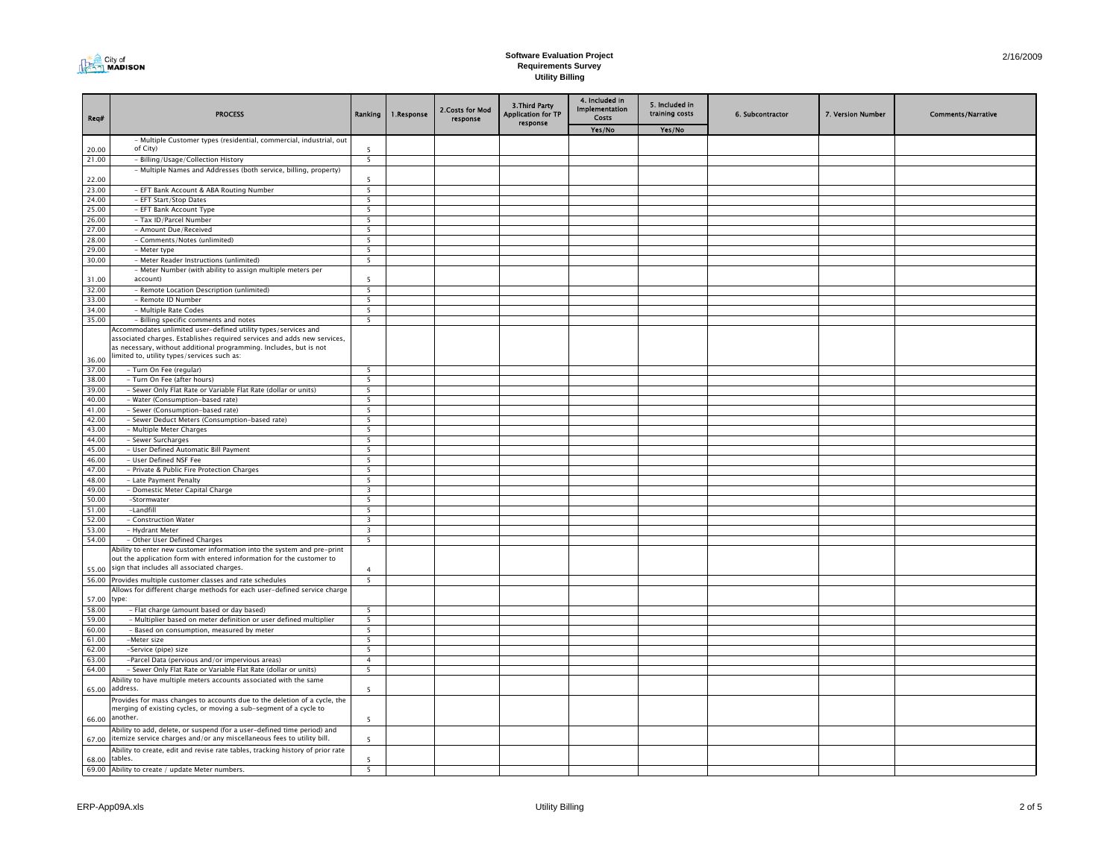

| Req#           | <b>PROCESS</b>                                                                                                                                                                                                   |                                            | Ranking   1. Response | 2. Costs for Mod<br>response | 3. Third Party<br>Application for TP | 4. Included in<br>Implementation<br><b>Costs</b> | 5. Included in<br>training costs | 6. Subcontractor | 7. Version Number | <b>Comments/Narrative</b> |
|----------------|------------------------------------------------------------------------------------------------------------------------------------------------------------------------------------------------------------------|--------------------------------------------|-----------------------|------------------------------|--------------------------------------|--------------------------------------------------|----------------------------------|------------------|-------------------|---------------------------|
|                |                                                                                                                                                                                                                  |                                            |                       |                              | response                             | Yes/No                                           | Yes/No                           |                  |                   |                           |
|                | - Multiple Customer types (residential, commercial, industrial, out                                                                                                                                              |                                            |                       |                              |                                      |                                                  |                                  |                  |                   |                           |
| 20.00          | of City)                                                                                                                                                                                                         | 5                                          |                       |                              |                                      |                                                  |                                  |                  |                   |                           |
| 21.00          | - Billing/Usage/Collection History<br>- Multiple Names and Addresses (both service, billing, property)                                                                                                           | $\overline{\phantom{0}}$                   |                       |                              |                                      |                                                  |                                  |                  |                   |                           |
| 22.00          |                                                                                                                                                                                                                  | 5                                          |                       |                              |                                      |                                                  |                                  |                  |                   |                           |
| 23.00          | - EFT Bank Account & ABA Routing Number                                                                                                                                                                          | 5                                          |                       |                              |                                      |                                                  |                                  |                  |                   |                           |
| 24.00          | - EFT Start/Stop Dates                                                                                                                                                                                           | 5                                          |                       |                              |                                      |                                                  |                                  |                  |                   |                           |
| 25.00          | - EFT Bank Account Type                                                                                                                                                                                          | - 5                                        |                       |                              |                                      |                                                  |                                  |                  |                   |                           |
| 26.00          | - Tax ID/Parcel Number                                                                                                                                                                                           | $\overline{\phantom{a}}$                   |                       |                              |                                      |                                                  |                                  |                  |                   |                           |
| 27.00<br>28.00 | - Amount Due/Received<br>- Comments/Notes (unlimited)                                                                                                                                                            | 5<br>5                                     |                       |                              |                                      |                                                  |                                  |                  |                   |                           |
| 29.00          | - Meter type                                                                                                                                                                                                     | - 5                                        |                       |                              |                                      |                                                  |                                  |                  |                   |                           |
| 30.00          | - Meter Reader Instructions (unlimited)                                                                                                                                                                          | 5                                          |                       |                              |                                      |                                                  |                                  |                  |                   |                           |
|                | - Meter Number (with ability to assign multiple meters per                                                                                                                                                       |                                            |                       |                              |                                      |                                                  |                                  |                  |                   |                           |
| 31.00          | account)                                                                                                                                                                                                         | 5                                          |                       |                              |                                      |                                                  |                                  |                  |                   |                           |
| 32.00          | - Remote Location Description (unlimited)                                                                                                                                                                        | 5                                          |                       |                              |                                      |                                                  |                                  |                  |                   |                           |
| 33.00<br>34.00 | - Remote ID Number<br>- Multiple Rate Codes                                                                                                                                                                      | 5<br>5                                     |                       |                              |                                      |                                                  |                                  |                  |                   |                           |
| 35.00          | - Billing specific comments and notes                                                                                                                                                                            | $\overline{\phantom{a}}$                   |                       |                              |                                      |                                                  |                                  |                  |                   |                           |
|                | Accommodates unlimited user-defined utility types/services and<br>associated charges. Establishes required services and adds new services,<br>as necessary, without additional programming. Includes, but is not |                                            |                       |                              |                                      |                                                  |                                  |                  |                   |                           |
| 36.00          | imited to, utility types/services such as:                                                                                                                                                                       |                                            |                       |                              |                                      |                                                  |                                  |                  |                   |                           |
| 37.00          | - Turn On Fee (regular)                                                                                                                                                                                          | - 5                                        |                       |                              |                                      |                                                  |                                  |                  |                   |                           |
| 38.00          | - Turn On Fee (after hours)                                                                                                                                                                                      | 5                                          |                       |                              |                                      |                                                  |                                  |                  |                   |                           |
| 39.00          | - Sewer Only Flat Rate or Variable Flat Rate (dollar or units)                                                                                                                                                   | 5                                          |                       |                              |                                      |                                                  |                                  |                  |                   |                           |
| 40.00<br>41.00 | - Water (Consumption-based rate)<br>- Sewer (Consumption-based rate)                                                                                                                                             | - 5<br>- 5                                 |                       |                              |                                      |                                                  |                                  |                  |                   |                           |
| 42.00          | - Sewer Deduct Meters (Consumption-based rate)                                                                                                                                                                   | 5                                          |                       |                              |                                      |                                                  |                                  |                  |                   |                           |
| 43.00          | - Multiple Meter Charges                                                                                                                                                                                         | 5                                          |                       |                              |                                      |                                                  |                                  |                  |                   |                           |
| 44.00          | - Sewer Surcharges                                                                                                                                                                                               | 5                                          |                       |                              |                                      |                                                  |                                  |                  |                   |                           |
| 45.00          | - User Defined Automatic Bill Payment                                                                                                                                                                            | -5                                         |                       |                              |                                      |                                                  |                                  |                  |                   |                           |
| 46.00          | - User Defined NSF Fee                                                                                                                                                                                           | $\overline{\phantom{0}}$                   |                       |                              |                                      |                                                  |                                  |                  |                   |                           |
| 47.00<br>48.00 | - Private & Public Fire Protection Charges                                                                                                                                                                       | 5<br>5                                     |                       |                              |                                      |                                                  |                                  |                  |                   |                           |
| 49.00          | - Late Payment Penalty<br>- Domestic Meter Capital Charge                                                                                                                                                        | $\overline{\mathbf{3}}$                    |                       |                              |                                      |                                                  |                                  |                  |                   |                           |
| 50.00          | -Stormwater                                                                                                                                                                                                      | 5                                          |                       |                              |                                      |                                                  |                                  |                  |                   |                           |
| 51.00          | -Landfill                                                                                                                                                                                                        | $\overline{\phantom{a}}$                   |                       |                              |                                      |                                                  |                                  |                  |                   |                           |
| 52.00          | - Construction Water                                                                                                                                                                                             | $\overline{3}$                             |                       |                              |                                      |                                                  |                                  |                  |                   |                           |
| 53.00          | - Hydrant Meter                                                                                                                                                                                                  | 3                                          |                       |                              |                                      |                                                  |                                  |                  |                   |                           |
| 54.00          | - Other User Defined Charges                                                                                                                                                                                     | -5                                         |                       |                              |                                      |                                                  |                                  |                  |                   |                           |
|                | Ability to enter new customer information into the system and pre-print<br>but the application form with entered information for the customer to                                                                 |                                            |                       |                              |                                      |                                                  |                                  |                  |                   |                           |
| 55.00          | sign that includes all associated charges.                                                                                                                                                                       | $\overline{a}$                             |                       |                              |                                      |                                                  |                                  |                  |                   |                           |
| 56.00          | Provides multiple customer classes and rate schedules                                                                                                                                                            | 5                                          |                       |                              |                                      |                                                  |                                  |                  |                   |                           |
| 57.00          | Allows for different charge methods for each user-defined service charge<br>type:                                                                                                                                |                                            |                       |                              |                                      |                                                  |                                  |                  |                   |                           |
| 58.00          | - Flat charge (amount based or day based)                                                                                                                                                                        | $\overline{\phantom{a}}$                   |                       |                              |                                      |                                                  |                                  |                  |                   |                           |
| 59.00          | - Multiplier based on meter definition or user defined multiplier                                                                                                                                                | 5                                          |                       |                              |                                      |                                                  |                                  |                  |                   |                           |
| 60.00          | - Based on consumption, measured by meter                                                                                                                                                                        | 5                                          |                       |                              |                                      |                                                  |                                  |                  |                   |                           |
| 61.00          | -Meter size                                                                                                                                                                                                      | -5                                         |                       |                              |                                      |                                                  |                                  |                  |                   |                           |
| 62.00<br>63.00 | -Service (pipe) size<br>-Parcel Data (pervious and/or impervious areas)                                                                                                                                          | $\overline{\phantom{a}}$<br>$\overline{4}$ |                       |                              |                                      |                                                  |                                  |                  |                   |                           |
| 64.00          | - Sewer Only Flat Rate or Variable Flat Rate (dollar or units)                                                                                                                                                   | 5                                          |                       |                              |                                      |                                                  |                                  |                  |                   |                           |
|                | Ability to have multiple meters accounts associated with the same                                                                                                                                                |                                            |                       |                              |                                      |                                                  |                                  |                  |                   |                           |
| 65.00          | address.<br>Provides for mass changes to accounts due to the deletion of a cycle, the                                                                                                                            |                                            |                       |                              |                                      |                                                  |                                  |                  |                   |                           |
| 66.00          | merging of existing cycles, or moving a sub-segment of a cycle to<br>another.                                                                                                                                    | 5                                          |                       |                              |                                      |                                                  |                                  |                  |                   |                           |
| 67.00          | Ability to add, delete, or suspend (for a user-defined time period) and<br>itemize service charges and/or any miscellaneous fees to utility bill.                                                                | 5                                          |                       |                              |                                      |                                                  |                                  |                  |                   |                           |
|                | Ability to create, edit and revise rate tables, tracking history of prior rate<br>68.00 tables.                                                                                                                  | 5                                          |                       |                              |                                      |                                                  |                                  |                  |                   |                           |
|                | 69.00 Ability to create / update Meter numbers.                                                                                                                                                                  | 5                                          |                       |                              |                                      |                                                  |                                  |                  |                   |                           |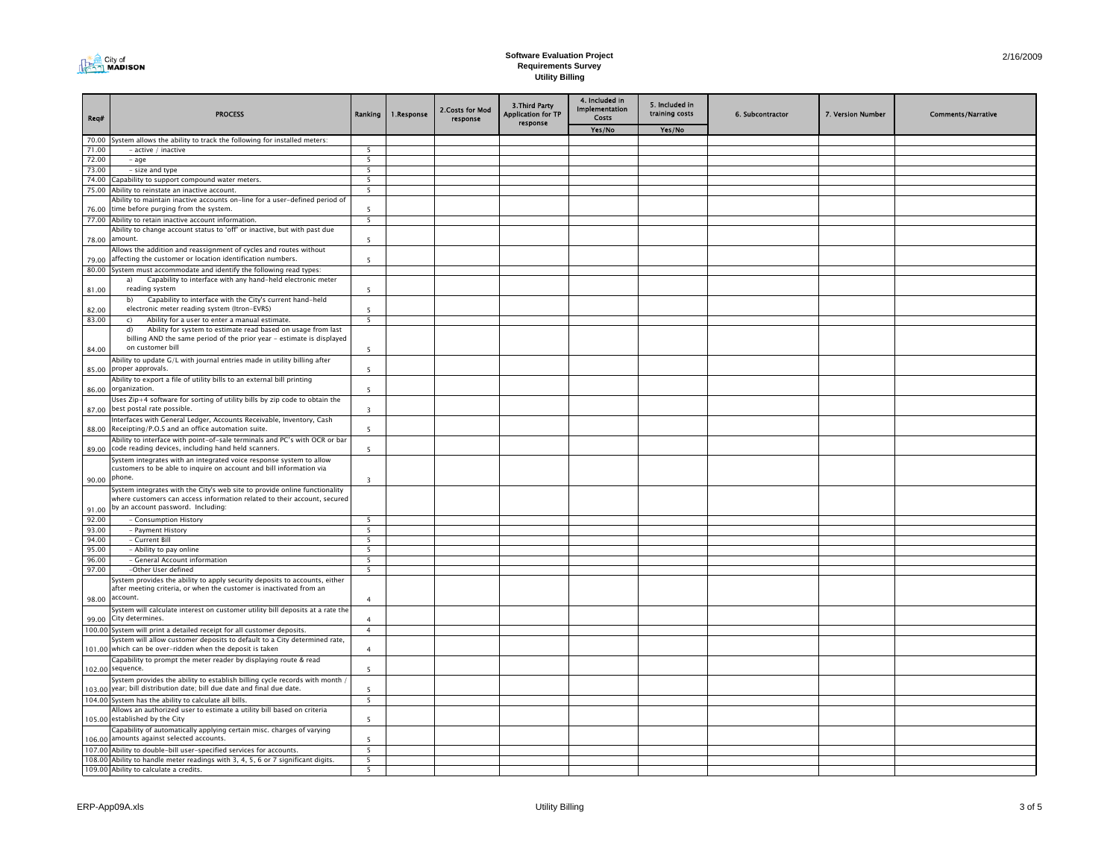

| Reg#   | <b>PROCESS</b>                                                                                                                                                  | <b>Ranking</b>           | 1.Response | 2. Costs for Mod<br>response | 3. Third Party<br><b>Application for TP</b><br>response | 4. Included in<br>Implementation<br>Costs | 5. Included in<br>training costs | 6. Subcontractor | 7. Version Number | <b>Comments/Narrative</b> |
|--------|-----------------------------------------------------------------------------------------------------------------------------------------------------------------|--------------------------|------------|------------------------------|---------------------------------------------------------|-------------------------------------------|----------------------------------|------------------|-------------------|---------------------------|
|        |                                                                                                                                                                 |                          |            |                              |                                                         | Yes/No                                    | Yes/No                           |                  |                   |                           |
|        | 70.00 System allows the ability to track the following for installed meters:                                                                                    |                          |            |                              |                                                         |                                           |                                  |                  |                   |                           |
| 71.00  | - active / inactive                                                                                                                                             | -5                       |            |                              |                                                         |                                           |                                  |                  |                   |                           |
| 72.00  | - age                                                                                                                                                           | $\overline{\phantom{a}}$ |            |                              |                                                         |                                           |                                  |                  |                   |                           |
| 73.00  | - size and type                                                                                                                                                 | 5                        |            |                              |                                                         |                                           |                                  |                  |                   |                           |
| 74.00  | Capability to support compound water meters.                                                                                                                    | 5                        |            |                              |                                                         |                                           |                                  |                  |                   |                           |
|        | 75.00 Ability to reinstate an inactive account.                                                                                                                 | - 5                      |            |                              |                                                         |                                           |                                  |                  |                   |                           |
|        | Ability to maintain inactive accounts on-line for a user-defined period of<br>76.00 time before purging from the system.                                        | 5                        |            |                              |                                                         |                                           |                                  |                  |                   |                           |
|        | 77.00 Ability to retain inactive account information.                                                                                                           | -5                       |            |                              |                                                         |                                           |                                  |                  |                   |                           |
|        | Ability to change account status to 'off' or inactive, but with past due<br>78.00 amount.                                                                       | -5                       |            |                              |                                                         |                                           |                                  |                  |                   |                           |
| 79.00  | Allows the addition and reassignment of cycles and routes without<br>affecting the customer or location identification numbers.                                 | $\overline{\phantom{a}}$ |            |                              |                                                         |                                           |                                  |                  |                   |                           |
| 80.00  | System must accommodate and identify the following read types:                                                                                                  |                          |            |                              |                                                         |                                           |                                  |                  |                   |                           |
|        | Capability to interface with any hand-held electronic meter<br>a)                                                                                               |                          |            |                              |                                                         |                                           |                                  |                  |                   |                           |
| 81.00  | reading system<br>Capability to interface with the City's current hand-held<br>b)                                                                               | -5                       |            |                              |                                                         |                                           |                                  |                  |                   |                           |
| 82.00  | electronic meter reading system (Itron-EVRS)                                                                                                                    | 5                        |            |                              |                                                         |                                           |                                  |                  |                   |                           |
| 83.00  | Ability for a user to enter a manual estimate.<br>$\mathsf{C}$                                                                                                  | 5                        |            |                              |                                                         |                                           |                                  |                  |                   |                           |
| 84.00  | Ability for system to estimate read based on usage from last<br>d)<br>billing AND the same period of the prior year - estimate is displayed<br>on customer bill | $5\overline{2}$          |            |                              |                                                         |                                           |                                  |                  |                   |                           |
|        | Ability to update G/L with journal entries made in utility billing after<br>85.00 proper approvals.                                                             | $\overline{\phantom{a}}$ |            |                              |                                                         |                                           |                                  |                  |                   |                           |
|        | Ability to export a file of utility bills to an external bill printing<br>86.00 organization.                                                                   | -5                       |            |                              |                                                         |                                           |                                  |                  |                   |                           |
| 87.00  | Jses Zip+4 software for sorting of utility bills by zip code to obtain the<br>best postal rate possible.                                                        | $\overline{\mathbf{3}}$  |            |                              |                                                         |                                           |                                  |                  |                   |                           |
| 88.00  | Interfaces with General Ledger, Accounts Receivable, Inventory, Cash<br>Receipting/P.O.S and an office automation suite.                                        | $\overline{5}$           |            |                              |                                                         |                                           |                                  |                  |                   |                           |
| 89.00  | Ability to interface with point-of-sale terminals and PC's with OCR or bar<br>code reading devices, including hand held scanners.                               | -5                       |            |                              |                                                         |                                           |                                  |                  |                   |                           |
|        | System integrates with an integrated voice response system to allow<br>customers to be able to inquire on account and bill information via                      |                          |            |                              |                                                         |                                           |                                  |                  |                   |                           |
| 90.00  | phone.<br>System integrates with the City's web site to provide online functionality                                                                            | $\overline{\mathbf{3}}$  |            |                              |                                                         |                                           |                                  |                  |                   |                           |
| 91.00  | where customers can access information related to their account, secured<br>by an account password. Including:                                                  |                          |            |                              |                                                         |                                           |                                  |                  |                   |                           |
| 92.00  | - Consumption History                                                                                                                                           | 5                        |            |                              |                                                         |                                           |                                  |                  |                   |                           |
| 93.00  | - Payment History                                                                                                                                               | 5                        |            |                              |                                                         |                                           |                                  |                  |                   |                           |
| 94.00  | - Current Bill                                                                                                                                                  | - 5                      |            |                              |                                                         |                                           |                                  |                  |                   |                           |
| 95.00  | - Ability to pay online                                                                                                                                         | - 5                      |            |                              |                                                         |                                           |                                  |                  |                   |                           |
| 96.00  | - General Account information                                                                                                                                   | 5                        |            |                              |                                                         |                                           |                                  |                  |                   |                           |
| 97.00  | -Other User defined                                                                                                                                             | $\overline{\phantom{a}}$ |            |                              |                                                         |                                           |                                  |                  |                   |                           |
| 98.00  | lystem provides the ability to apply security deposits to accounts, either<br>after meeting criteria, or when the customer is inactivated from an<br>account.   | $\overline{4}$           |            |                              |                                                         |                                           |                                  |                  |                   |                           |
| 99.00  | System will calculate interest on customer utility bill deposits at a rate the<br>City determines.                                                              | $\overline{a}$           |            |                              |                                                         |                                           |                                  |                  |                   |                           |
|        | 100.00 System will print a detailed receipt for all customer deposits.                                                                                          | $\overline{4}$           |            |                              |                                                         |                                           |                                  |                  |                   |                           |
|        | System will allow customer deposits to default to a City determined rate,<br>101.00 which can be over-ridden when the deposit is taken                          | $\overline{a}$           |            |                              |                                                         |                                           |                                  |                  |                   |                           |
|        | Capability to prompt the meter reader by displaying route & read                                                                                                |                          |            |                              |                                                         |                                           |                                  |                  |                   |                           |
|        | 102.00 sequence.<br>system provides the ability to establish billing cycle records with month                                                                   | $\overline{\phantom{a}}$ |            |                              |                                                         |                                           |                                  |                  |                   |                           |
|        | 103.00 year; bill distribution date; bill due date and final due date.                                                                                          |                          |            |                              |                                                         |                                           |                                  |                  |                   |                           |
|        | 104.00 System has the ability to calculate all bills.                                                                                                           | 5                        |            |                              |                                                         |                                           |                                  |                  |                   |                           |
|        | Allows an authorized user to estimate a utility bill based on criteria<br>105.00 established by the City                                                        | $\overline{\phantom{a}}$ |            |                              |                                                         |                                           |                                  |                  |                   |                           |
| 106.00 | Capability of automatically applying certain misc. charges of varying<br>amounts against selected accounts.                                                     | 5                        |            |                              |                                                         |                                           |                                  |                  |                   |                           |
|        | 107.00 Ability to double-bill user-specified services for accounts.                                                                                             | - 5                      |            |                              |                                                         |                                           |                                  |                  |                   |                           |
|        | 108.00 Ability to handle meter readings with 3, 4, 5, 6 or 7 significant digits.                                                                                | 5                        |            |                              |                                                         |                                           |                                  |                  |                   |                           |
|        | 109.00 Ability to calculate a credits.                                                                                                                          | $\overline{\phantom{a}}$ |            |                              |                                                         |                                           |                                  |                  |                   |                           |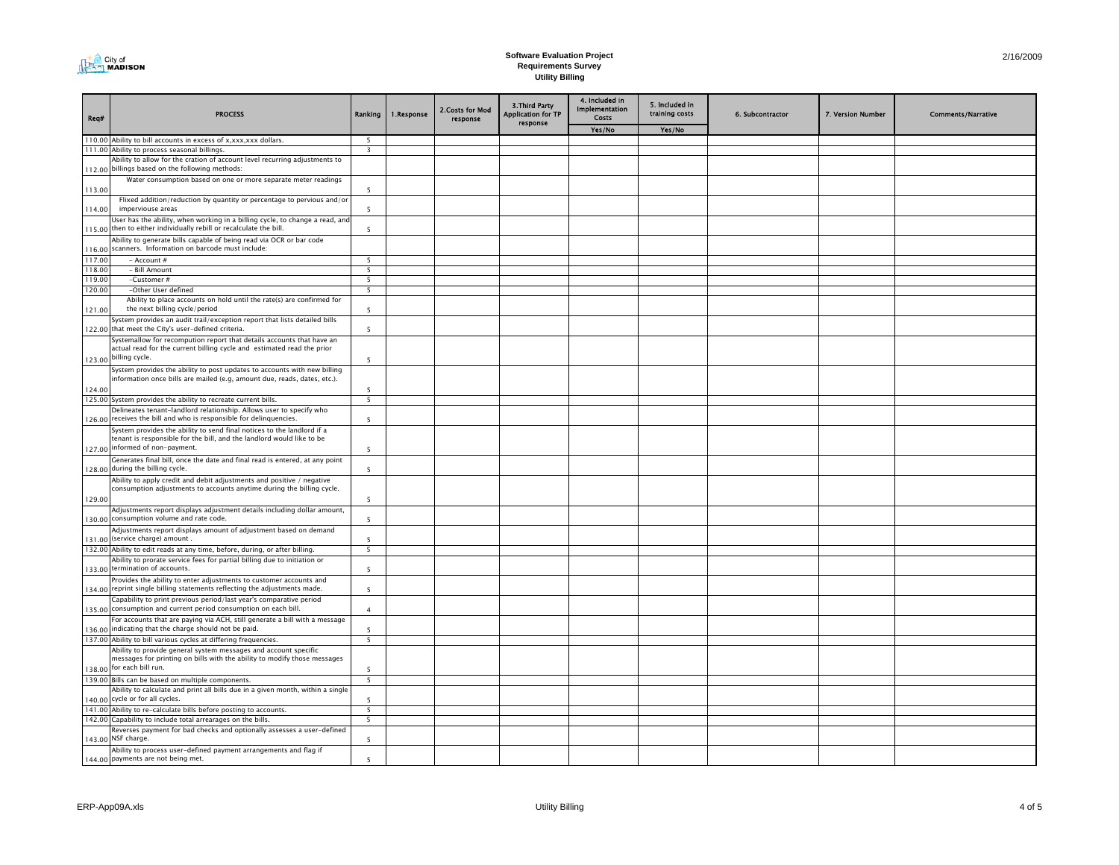

| Req#   | <b>PROCESS</b>                                                                                                                                                                     | Ranking                  | 1.Response | 2. Costs for Mod<br>response | 3. Third Party<br><b>Application for TP</b><br>response | 4. Included in<br><b>Implementation</b><br>Costs | 5. Included in<br>training costs | 6. Subcontractor | 7. Version Number | <b>Comments/Narrative</b> |
|--------|------------------------------------------------------------------------------------------------------------------------------------------------------------------------------------|--------------------------|------------|------------------------------|---------------------------------------------------------|--------------------------------------------------|----------------------------------|------------------|-------------------|---------------------------|
|        |                                                                                                                                                                                    |                          |            |                              |                                                         | Yes/No                                           | Yes/No                           |                  |                   |                           |
|        | 110.00 Ability to bill accounts in excess of x,xxx,xxx dollars.                                                                                                                    | - 5                      |            |                              |                                                         |                                                  |                                  |                  |                   |                           |
|        | 111.00 Ability to process seasonal billings.                                                                                                                                       | $\overline{\mathbf{3}}$  |            |                              |                                                         |                                                  |                                  |                  |                   |                           |
| 112.00 | Ability to allow for the cration of account level recurring adjustments to<br>billings based on the following methods:                                                             |                          |            |                              |                                                         |                                                  |                                  |                  |                   |                           |
| 113.00 | Water consumption based on one or more separate meter readings                                                                                                                     | $\overline{5}$           |            |                              |                                                         |                                                  |                                  |                  |                   |                           |
| 114.00 | Flixed addition/reduction by quantity or percentage to pervious and/or<br>imperviouse areas                                                                                        | -5                       |            |                              |                                                         |                                                  |                                  |                  |                   |                           |
|        | User has the ability, when working in a billing cycle, to change a read, and<br>115.00 then to either individually rebill or recalculate the bill.                                 | $\overline{5}$           |            |                              |                                                         |                                                  |                                  |                  |                   |                           |
| 116.00 | Ability to generate bills capable of being read via OCR or bar code<br>scanners. Information on barcode must include:                                                              |                          |            |                              |                                                         |                                                  |                                  |                  |                   |                           |
| 117.00 | - Account #                                                                                                                                                                        | -5                       |            |                              |                                                         |                                                  |                                  |                  |                   |                           |
| 118.00 | - Bill Amount                                                                                                                                                                      | $\overline{5}$           |            |                              |                                                         |                                                  |                                  |                  |                   |                           |
| 119.00 | -Customer #                                                                                                                                                                        | 5                        |            |                              |                                                         |                                                  |                                  |                  |                   |                           |
| 120.00 | -Other User defined                                                                                                                                                                | 5                        |            |                              |                                                         |                                                  |                                  |                  |                   |                           |
| 121.00 | Ability to place accounts on hold until the rate(s) are confirmed for<br>the next billing cycle/period                                                                             | 5                        |            |                              |                                                         |                                                  |                                  |                  |                   |                           |
|        | System provides an audit trail/exception report that lists detailed bills<br>122.00 that meet the City's user-defined criteria.                                                    | 5                        |            |                              |                                                         |                                                  |                                  |                  |                   |                           |
|        | Systemallow for recompution report that details accounts that have an<br>actual read for the current billing cycle and estimated read the prior                                    |                          |            |                              |                                                         |                                                  |                                  |                  |                   |                           |
|        | 123.00 billing cycle.<br>System provides the ability to post updates to accounts with new billing                                                                                  | 5                        |            |                              |                                                         |                                                  |                                  |                  |                   |                           |
| 124.00 | information once bills are mailed (e.g, amount due, reads, dates, etc.).                                                                                                           | 5                        |            |                              |                                                         |                                                  |                                  |                  |                   |                           |
|        | 125.00 System provides the ability to recreate current bills.                                                                                                                      | 5                        |            |                              |                                                         |                                                  |                                  |                  |                   |                           |
| 126.00 | Delineates tenant-landlord relationship. Allows user to specify who<br>receives the bill and who is responsible for delinquencies.                                                 | $\overline{5}$           |            |                              |                                                         |                                                  |                                  |                  |                   |                           |
|        | System provides the ability to send final notices to the landlord if a<br>tenant is responsible for the bill, and the landlord would like to be<br>127.00 informed of non-payment. | $\overline{\phantom{a}}$ |            |                              |                                                         |                                                  |                                  |                  |                   |                           |
|        | Generates final bill, once the date and final read is entered, at any point                                                                                                        |                          |            |                              |                                                         |                                                  |                                  |                  |                   |                           |
|        | 128.00 during the billing cycle.<br>Ability to apply credit and debit adjustments and positive / negative                                                                          | 5                        |            |                              |                                                         |                                                  |                                  |                  |                   |                           |
| 129.00 | consumption adjustments to accounts anytime during the billing cycle.                                                                                                              | 5                        |            |                              |                                                         |                                                  |                                  |                  |                   |                           |
|        | Adjustments report displays adjustment details including dollar amount,<br>130.00 consumption volume and rate code.                                                                | 5                        |            |                              |                                                         |                                                  |                                  |                  |                   |                           |
|        | Adjustments report displays amount of adjustment based on demand<br>131.00 (service charge) amount.                                                                                | -5                       |            |                              |                                                         |                                                  |                                  |                  |                   |                           |
|        | 132.00 Ability to edit reads at any time, before, during, or after billing.                                                                                                        | 5                        |            |                              |                                                         |                                                  |                                  |                  |                   |                           |
|        | Ability to prorate service fees for partial billing due to initiation or<br>133.00 termination of accounts.                                                                        | 5                        |            |                              |                                                         |                                                  |                                  |                  |                   |                           |
| 134.00 | Provides the ability to enter adjustments to customer accounts and<br>reprint single billing statements reflecting the adjustments made.                                           | 5                        |            |                              |                                                         |                                                  |                                  |                  |                   |                           |
| 135.00 | Capability to print previous period/last year's comparative period<br>consumption and current period consumption on each bill.                                                     | $\overline{4}$           |            |                              |                                                         |                                                  |                                  |                  |                   |                           |
|        | For accounts that are paying via ACH, still generate a bill with a message<br>136.00 indicating that the charge should not be paid.                                                | 5                        |            |                              |                                                         |                                                  |                                  |                  |                   |                           |
|        | 137.00 Ability to bill various cycles at differing frequencies.                                                                                                                    | $\overline{5}$           |            |                              |                                                         |                                                  |                                  |                  |                   |                           |
|        | Ability to provide general system messages and account specific                                                                                                                    |                          |            |                              |                                                         |                                                  |                                  |                  |                   |                           |
|        | messages for printing on bills with the ability to modify those messages<br>138.00 for each bill run.                                                                              | $\overline{5}$           |            |                              |                                                         |                                                  |                                  |                  |                   |                           |
|        | 139.00 Bills can be based on multiple components.                                                                                                                                  | 5                        |            |                              |                                                         |                                                  |                                  |                  |                   |                           |
|        | Ability to calculate and print all bills due in a given month, within a single<br>140.00 cycle or for all cycles.                                                                  | 5                        |            |                              |                                                         |                                                  |                                  |                  |                   |                           |
|        | 141.00 Ability to re-calculate bills before posting to accounts.                                                                                                                   | $\overline{\phantom{a}}$ |            |                              |                                                         |                                                  |                                  |                  |                   |                           |
|        | 142.00 Capability to include total arrearages on the bills.                                                                                                                        | 5                        |            |                              |                                                         |                                                  |                                  |                  |                   |                           |
|        | Reverses payment for bad checks and optionally assesses a user-defined<br>143.00 NSF charge.                                                                                       | 5                        |            |                              |                                                         |                                                  |                                  |                  |                   |                           |
|        | Ability to process user-defined payment arrangements and flag if<br>144.00 payments are not being met.                                                                             | 5                        |            |                              |                                                         |                                                  |                                  |                  |                   |                           |